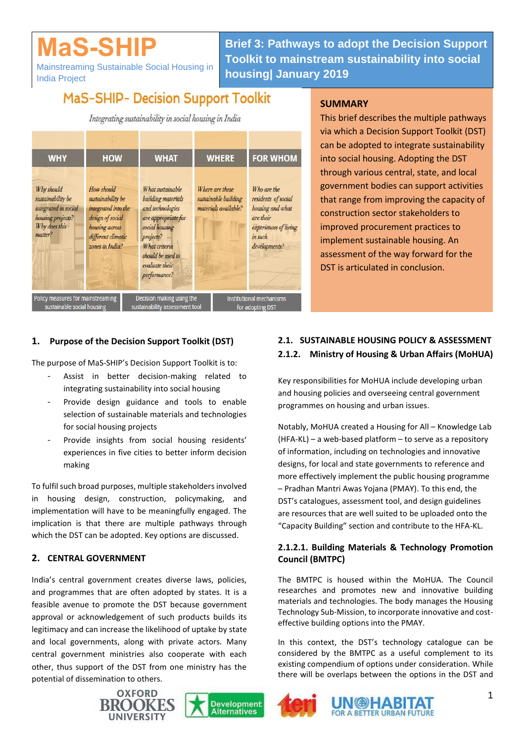# **MaS-SHIP**

Mainstreaming Sustainable Social Housing in India Project

**Brief 3: Pathways to adopt the Decision Support Toolkit to mainstream sustainability into social housing| January 2019**

# **MaS-SHIP- Decision Support Toolkit**

Integrating sustainability in social housing in India



#### **SUMMARY**

This brief describes the multiple pathways via which a Decision Support Toolkit (DST) can be adopted to integrate sustainability into social housing. Adopting the DST through various central, state, and local government bodies can support activities that range from improving the capacity of construction sector stakeholders to improved procurement practices to implement sustainable housing. An assessment of the way forward for the DST is articulated in conclusion.

# **1. Purpose of the Decision Support Toolkit (DST)**

The purpose of MaS-SHIP's Decision Support Toolkit is to:

- Assist in better decision-making related to integrating sustainability into social housing
- Provide design guidance and tools to enable selection of sustainable materials and technologies for social housing projects
- Provide insights from social housing residents' experiences in five cities to better inform decision making

To fulfil such broad purposes, multiple stakeholders involved in housing design, construction, policymaking, and implementation will have to be meaningfully engaged. The implication is that there are multiple pathways through which the DST can be adopted. Key options are discussed.

# **2. CENTRAL GOVERNMENT**

India's central government creates diverse laws, policies, and programmes that are often adopted by states. It is a feasible avenue to promote the DST because government approval or acknowledgement of such products builds its legitimacy and can increase the likelihood of uptake by state and local governments, along with private actors. Many central government ministries also cooperate with each other, thus support of the DST from one ministry has the potential of dissemination to others.









# **2.1. SUSTAINABLE HOUSING POLICY & ASSESSMENT 2.1.2. Ministry of Housing & Urban Affairs (MoHUA)**

Key responsibilities for MoHUA include developing urban and housing policies and overseeing central government programmes on housing and urban issues.

Notably, MoHUA created a Housing for All – Knowledge Lab (HFA-KL) – a web-based platform – to serve as a repository of information, including on technologies and innovative designs, for local and state governments to reference and more effectively implement the public housing programme – Pradhan Mantri Awas Yojana (PMAY). To this end, the DST's catalogues, assessment tool, and design guidelines are resources that are well suited to be uploaded onto the "Capacity Building" section and contribute to the HFA-KL.

## **2.1.2.1. Building Materials & Technology Promotion Council (BMTPC)**

The BMTPC is housed within the MoHUA. The Council researches and promotes new and innovative building materials and technologies. The body manages the Housing Technology Sub-Mission, to incorporate innovative and costeffective building options into the PMAY.

In this context, the DST's technology catalogue can be considered by the BMTPC as a useful complement to its existing compendium of options under consideration. While there will be overlaps between the options in the DST and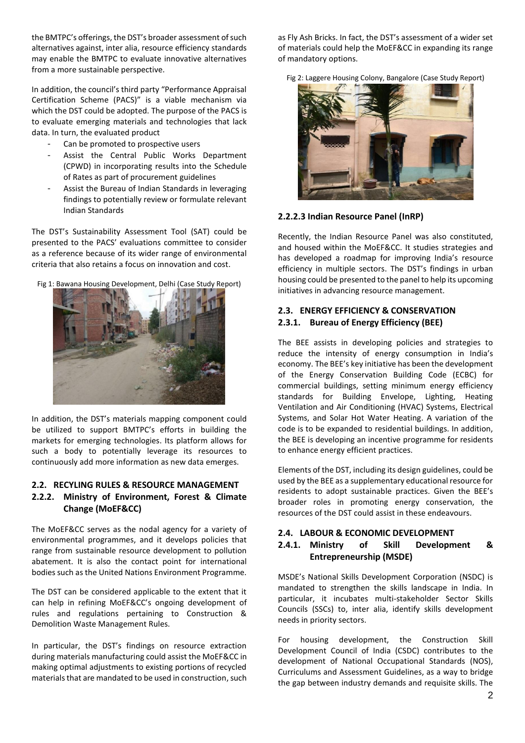the BMTPC's offerings, the DST's broader assessment of such alternatives against, inter alia, resource efficiency standards may enable the BMTPC to evaluate innovative alternatives from a more sustainable perspective.

In addition, the council's third party "Performance Appraisal Certification Scheme (PACS)" is a viable mechanism via which the DST could be adopted. The purpose of the PACS is to evaluate emerging materials and technologies that lack data. In turn, the evaluated product

- Can be promoted to prospective users
- Assist the Central Public Works Department (CPWD) in incorporating results into the Schedule of Rates as part of procurement guidelines
- Assist the Bureau of Indian Standards in leveraging findings to potentially review or formulate relevant Indian Standards

The DST's Sustainability Assessment Tool (SAT) could be presented to the PACS' evaluations committee to consider as a reference because of its wider range of environmental criteria that also retains a focus on innovation and cost.

Fig 1: Bawana Housing Development, Delhi (Case Study Report)



In addition, the DST's materials mapping component could be utilized to support BMTPC's efforts in building the markets for emerging technologies. Its platform allows for such a body to potentially leverage its resources to continuously add more information as new data emerges.

#### **2.2. RECYLING RULES & RESOURCE MANAGEMENT 2.2.2. Ministry of Environment, Forest & Climate Change (MoEF&CC)**

The MoEF&CC serves as the nodal agency for a variety of environmental programmes, and it develops policies that range from sustainable resource development to pollution abatement. It is also the contact point for international bodies such as the United Nations Environment Programme.

The DST can be considered applicable to the extent that it can help in refining MoEF&CC's ongoing development of rules and regulations pertaining to Construction & Demolition Waste Management Rules.

In particular, the DST's findings on resource extraction during materials manufacturing could assist the MoEF&CC in making optimal adjustments to existing portions of recycled materials that are mandated to be used in construction, such

as Fly Ash Bricks. In fact, the DST's assessment of a wider set of materials could help the MoEF&CC in expanding its range of mandatory options.

Fig 2: Laggere Housing Colony, Bangalore (Case Study Report)



#### **2.2.2.3 Indian Resource Panel (InRP)**

Recently, the Indian Resource Panel was also constituted, and housed within the MoEF&CC. It studies strategies and has developed a roadmap for improving India's resource efficiency in multiple sectors. The DST's findings in urban housing could be presented to the panel to help its upcoming initiatives in advancing resource management.

#### **2.3. ENERGY EFFICIENCY & CONSERVATION 2.3.1. Bureau of Energy Efficiency (BEE)**

The BEE assists in developing policies and strategies to reduce the intensity of energy consumption in India's economy. The BEE's key initiative has been the development of the Energy Conservation Building Code (ECBC) for commercial buildings, setting minimum energy efficiency standards for Building Envelope, Lighting, Heating Ventilation and Air Conditioning (HVAC) Systems, Electrical Systems, and Solar Hot Water Heating. A variation of the code is to be expanded to residential buildings. In addition, the BEE is developing an incentive programme for residents to enhance energy efficient practices.

Elements of the DST, including its design guidelines, could be used by the BEE as a supplementary educational resource for residents to adopt sustainable practices. Given the BEE's broader roles in promoting energy conservation, the resources of the DST could assist in these endeavours.

#### **2.4. LABOUR & ECONOMIC DEVELOPMENT**

## **2.4.1. Ministry of Skill Development & Entrepreneurship (MSDE)**

MSDE's National Skills Development Corporation (NSDC) is mandated to strengthen the skills landscape in India. In particular, it incubates multi-stakeholder Sector Skills Councils (SSCs) to, inter alia, identify skills development needs in priority sectors.

For housing development, the Construction Skill Development Council of India (CSDC) contributes to the development of National Occupational Standards (NOS), Curriculums and Assessment Guidelines, as a way to bridge the gap between industry demands and requisite skills. The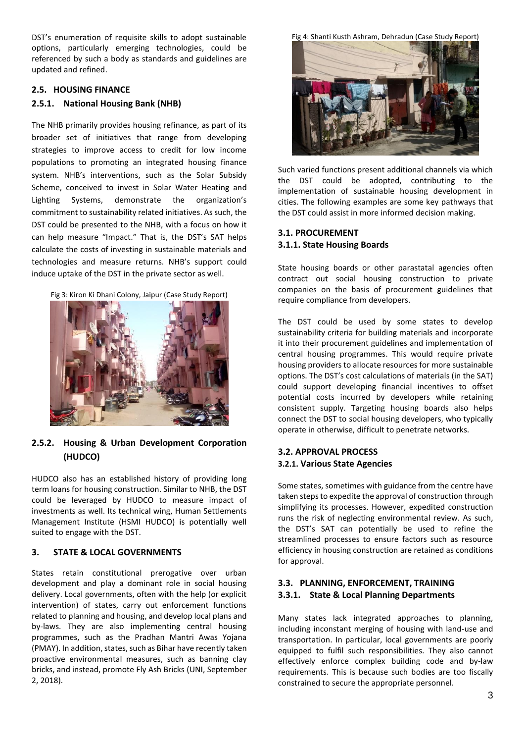DST's enumeration of requisite skills to adopt sustainable options, particularly emerging technologies, could be referenced by such a body as standards and guidelines are updated and refined.

#### **2.5. HOUSING FINANCE**

#### **2.5.1. National Housing Bank (NHB)**

The NHB primarily provides housing refinance, as part of its broader set of initiatives that range from developing strategies to improve access to credit for low income populations to promoting an integrated housing finance system. NHB's interventions, such as the Solar Subsidy Scheme, conceived to invest in Solar Water Heating and Lighting Systems, demonstrate the organization's commitment to sustainability related initiatives. As such, the DST could be presented to the NHB, with a focus on how it can help measure "Impact." That is, the DST's SAT helps calculate the costs of investing in sustainable materials and technologies and measure returns. NHB's support could induce uptake of the DST in the private sector as well.

Fig 3: Kiron Ki Dhani Colony, Jaipur (Case Study Report)



#### **2.5.2. Housing & Urban Development Corporation (HUDCO)**

HUDCO also has an established history of providing long term loans for housing construction. Similar to NHB, the DST could be leveraged by HUDCO to measure impact of investments as well. Its technical wing, Human Settlements Management Institute (HSMI HUDCO) is potentially well suited to engage with the DST.

#### **3. STATE & LOCAL GOVERNMENTS**

States retain constitutional prerogative over urban development and play a dominant role in social housing delivery. Local governments, often with the help (or explicit intervention) of states, carry out enforcement functions related to planning and housing, and develop local plans and by-laws. They are also implementing central housing programmes, such as the Pradhan Mantri Awas Yojana (PMAY). In addition, states, such as Bihar have recently taken proactive environmental measures, such as banning clay bricks, and instead, promote Fly Ash Bricks (UNI, September 2, 2018).

Fig 4: Shanti Kusth Ashram, Dehradun (Case Study Report)



Such varied functions present additional channels via which the DST could be adopted, contributing to the implementation of sustainable housing development in cities. The following examples are some key pathways that the DST could assist in more informed decision making.

#### **3.1. PROCUREMENT 3.1.1. State Housing Boards**

State housing boards or other parastatal agencies often contract out social housing construction to private companies on the basis of procurement guidelines that require compliance from developers.

The DST could be used by some states to develop sustainability criteria for building materials and incorporate it into their procurement guidelines and implementation of central housing programmes. This would require private housing providers to allocate resources for more sustainable options. The DST's cost calculations of materials (in the SAT) could support developing financial incentives to offset potential costs incurred by developers while retaining consistent supply. Targeting housing boards also helps connect the DST to social housing developers, who typically operate in otherwise, difficult to penetrate networks.

#### **3.2. APPROVAL PROCESS 3.2.1. Various State Agencies**

Some states, sometimes with guidance from the centre have taken steps to expedite the approval of construction through simplifying its processes. However, expedited construction runs the risk of neglecting environmental review. As such, the DST's SAT can potentially be used to refine the streamlined processes to ensure factors such as resource efficiency in housing construction are retained as conditions for approval.

#### **3.3. PLANNING, ENFORCEMENT, TRAINING 3.3.1. State & Local Planning Departments**

Many states lack integrated approaches to planning, including inconstant merging of housing with land-use and transportation. In particular, local governments are poorly equipped to fulfil such responsibilities. They also cannot effectively enforce complex building code and by-law requirements. This is because such bodies are too fiscally constrained to secure the appropriate personnel.